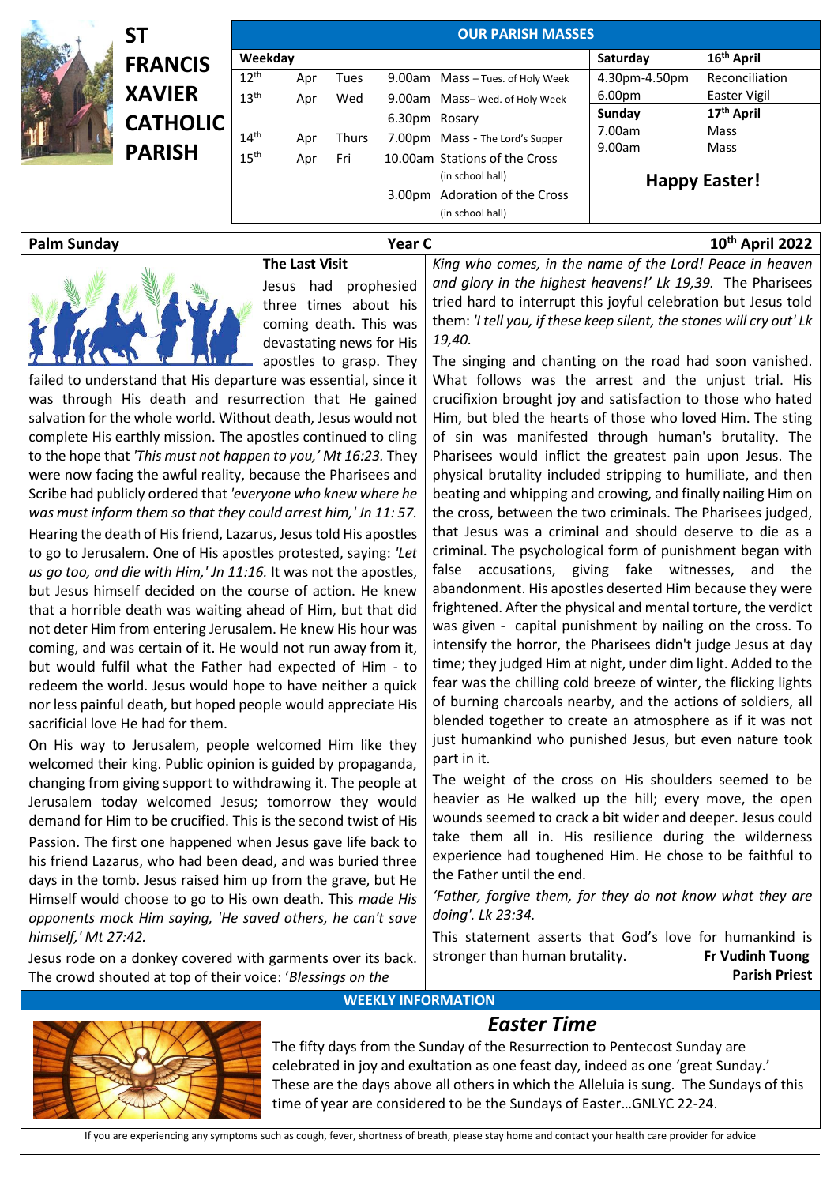|  | SΤ              | <b>OUR PARISH MASSES</b> |                               |              |               |                                  |                    |                        |  |
|--|-----------------|--------------------------|-------------------------------|--------------|---------------|----------------------------------|--------------------|------------------------|--|
|  | <b>FRANCIS</b>  | Weekday                  |                               |              |               |                                  | Saturday           | 16 <sup>th</sup> April |  |
|  |                 | 12 <sup>th</sup>         | Apr                           | Tues         |               | 9.00am Mass - Tues. of Holy Week | 4.30pm-4.50pm      | Reconciliation         |  |
|  | <b>XAVIER</b>   | 13 <sup>th</sup>         | Apr                           | Wed          |               | 9.00am Mass-Wed. of Holy Week    | 6.00 <sub>pm</sub> | Easter Vigil           |  |
|  | <b>CATHOLIC</b> |                          |                               |              | 6.30pm Rosary |                                  | Sunday             | 17 <sup>th</sup> April |  |
|  |                 | 14 <sup>th</sup>         | Apr                           | <b>Thurs</b> |               | 7.00pm Mass - The Lord's Supper  | 7.00am             | Mass                   |  |
|  | <b>PARISH</b>   | 15 <sup>th</sup>         | Apr                           | Fri          |               | 10.00am Stations of the Cross    | 9.00am             | Mass                   |  |
|  |                 |                          |                               |              |               | (in school hall)                 |                    |                        |  |
|  |                 |                          | 3.00pm Adoration of the Cross |              |               | <b>Happy Easter!</b>             |                    |                        |  |
|  |                 |                          |                               |              |               | (in school hall)                 |                    |                        |  |
|  |                 |                          |                               |              |               |                                  |                    |                        |  |

## **Palm Sunday Year C 10th April 2022**



## **The Last Visit**

Jesus had prophesied three times about his coming death. This was devastating news for His *King who comes, in the name of the Lord! Peace in heaven and glory in the highest heavens!' Lk 19,39.* The Pharisees tried hard to interrupt this joyful celebration but Jesus told them: *'I tell you, if these keep silent, the stones will cry out' Lk 19,40.* 

apostles to grasp. They failed to understand that His departure was essential, since it was through His death and resurrection that He gained salvation for the whole world. Without death, Jesus would not complete His earthly mission. The apostles continued to cling to the hope that *'This must not happen to you,' Mt 16:23.* They were now facing the awful reality, because the Pharisees and Scribe had publicly ordered that *'everyone who knew where he was must inform them so that they could arrest him,' Jn 11: 57.* Hearing the death of His friend, Lazarus, Jesus told His apostles to go to Jerusalem. One of His apostles protested, saying: *'Let us go too, and die with Him,' Jn 11:16.* It was not the apostles, but Jesus himself decided on the course of action. He knew that a horrible death was waiting ahead of Him, but that did not deter Him from entering Jerusalem. He knew His hour was coming, and was certain of it. He would not run away from it, but would fulfil what the Father had expected of Him - to redeem the world. Jesus would hope to have neither a quick nor less painful death, but hoped people would appreciate His sacrificial love He had for them.

On His way to Jerusalem, people welcomed Him like they welcomed their king. Public opinion is guided by propaganda, changing from giving support to withdrawing it. The people at Jerusalem today welcomed Jesus; tomorrow they would demand for Him to be crucified. This is the second twist of His Passion. The first one happened when Jesus gave life back to his friend Lazarus, who had been dead, and was buried three days in the tomb. Jesus raised him up from the grave, but He Himself would choose to go to His own death. This *made His opponents mock Him saying, 'He saved others, he can't save himself,' Mt 27:42.*

Jesus rode on a donkey covered with garments over its back. The crowd shouted at top of their voice: '*Blessings on the*

The singing and chanting on the road had soon vanished. What follows was the arrest and the uniust trial. His crucifixion brought joy and satisfaction to those who hated Him, but bled the hearts of those who loved Him. The sting of sin was manifested through human's brutality. The Pharisees would inflict the greatest pain upon Jesus. The physical brutality included stripping to humiliate, and then beating and whipping and crowing, and finally nailing Him on the cross, between the two criminals. The Pharisees judged, that Jesus was a criminal and should deserve to die as a criminal. The psychological form of punishment began with false accusations, giving fake witnesses, and the abandonment. His apostles deserted Him because they were frightened. After the physical and mental torture, the verdict was given - capital punishment by nailing on the cross. To intensify the horror, the Pharisees didn't judge Jesus at day time; they judged Him at night, under dim light. Added to the fear was the chilling cold breeze of winter, the flicking lights of burning charcoals nearby, and the actions of soldiers, all blended together to create an atmosphere as if it was not just humankind who punished Jesus, but even nature took part in it.

The weight of the cross on His shoulders seemed to be heavier as He walked up the hill; every move, the open wounds seemed to crack a bit wider and deeper. Jesus could take them all in. His resilience during the wilderness experience had toughened Him. He chose to be faithful to the Father until the end.

*'Father, forgive them, for they do not know what they are doing'. Lk 23:34.*

This statement asserts that God's love for humankind is stronger than human brutality. **Fr Vudinh Tuong Parish Priest**

## **WEEKLY INFORMATION**

## *Easter Time*

The fifty days from the Sunday of the Resurrection to Pentecost Sunday are celebrated in joy and exultation as one feast day, indeed as one 'great Sunday.' These are the days above all others in which the Alleluia is sung. The Sundays of this time of year are considered to be the Sundays of Easter…GNLYC 22-24.

If you are experiencing any symptoms such as cough, fever, shortness of breath, please stay home and contact your health care provider for advice